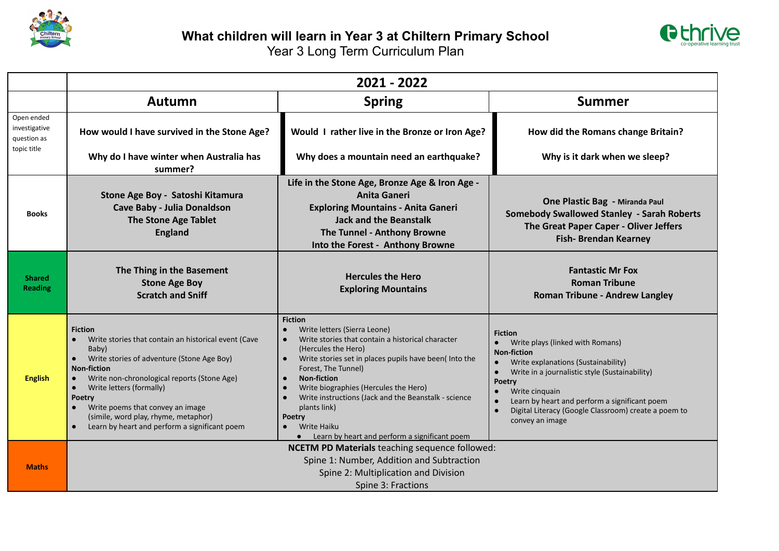



|                                                           | 2021 - 2022                                                                                                                                                                                                                                                                                                                                                                                            |                                                                                                                                                                                                                                                                                                                                                                                                                                                              |                                                                                                                                                                                                                                                                                                                                                                         |  |  |
|-----------------------------------------------------------|--------------------------------------------------------------------------------------------------------------------------------------------------------------------------------------------------------------------------------------------------------------------------------------------------------------------------------------------------------------------------------------------------------|--------------------------------------------------------------------------------------------------------------------------------------------------------------------------------------------------------------------------------------------------------------------------------------------------------------------------------------------------------------------------------------------------------------------------------------------------------------|-------------------------------------------------------------------------------------------------------------------------------------------------------------------------------------------------------------------------------------------------------------------------------------------------------------------------------------------------------------------------|--|--|
|                                                           | Autumn                                                                                                                                                                                                                                                                                                                                                                                                 | <b>Spring</b>                                                                                                                                                                                                                                                                                                                                                                                                                                                | <b>Summer</b>                                                                                                                                                                                                                                                                                                                                                           |  |  |
| Open ended<br>investigative<br>question as<br>topic title | How would I have survived in the Stone Age?                                                                                                                                                                                                                                                                                                                                                            | Would I rather live in the Bronze or Iron Age?                                                                                                                                                                                                                                                                                                                                                                                                               | How did the Romans change Britain?                                                                                                                                                                                                                                                                                                                                      |  |  |
|                                                           | Why do I have winter when Australia has<br>summer?                                                                                                                                                                                                                                                                                                                                                     | Why does a mountain need an earthquake?                                                                                                                                                                                                                                                                                                                                                                                                                      | Why is it dark when we sleep?                                                                                                                                                                                                                                                                                                                                           |  |  |
| <b>Books</b>                                              | Stone Age Boy - Satoshi Kitamura<br>Cave Baby - Julia Donaldson<br><b>The Stone Age Tablet</b><br><b>England</b>                                                                                                                                                                                                                                                                                       | Life in the Stone Age, Bronze Age & Iron Age -<br><b>Anita Ganeri</b><br><b>Exploring Mountains - Anita Ganeri</b><br><b>Jack and the Beanstalk</b><br>The Tunnel - Anthony Browne<br>Into the Forest - Anthony Browne                                                                                                                                                                                                                                       | One Plastic Bag - Miranda Paul<br><b>Somebody Swallowed Stanley - Sarah Roberts</b><br>The Great Paper Caper - Oliver Jeffers<br><b>Fish-Brendan Kearney</b>                                                                                                                                                                                                            |  |  |
| <b>Shared</b><br><b>Reading</b>                           | The Thing in the Basement<br><b>Stone Age Boy</b><br><b>Scratch and Sniff</b>                                                                                                                                                                                                                                                                                                                          | <b>Hercules the Hero</b><br><b>Exploring Mountains</b>                                                                                                                                                                                                                                                                                                                                                                                                       | <b>Fantastic Mr Fox</b><br><b>Roman Tribune</b><br><b>Roman Tribune - Andrew Langley</b>                                                                                                                                                                                                                                                                                |  |  |
| <b>English</b>                                            | <b>Fiction</b><br>Write stories that contain an historical event (Cave<br>Baby)<br>Write stories of adventure (Stone Age Boy)<br>$\bullet$<br><b>Non-fiction</b><br>Write non-chronological reports (Stone Age)<br>Write letters (formally)<br>$\bullet$<br><b>Poetry</b><br>Write poems that convey an image<br>(simile, word play, rhyme, metaphor)<br>Learn by heart and perform a significant poem | <b>Fiction</b><br>Write letters (Sierra Leone)<br>Write stories that contain a historical character<br>(Hercules the Hero)<br>Write stories set in places pupils have been(Into the<br>Forest, The Tunnel)<br><b>Non-fiction</b><br>Write biographies (Hercules the Hero)<br>Write instructions (Jack and the Beanstalk - science<br>plants link)<br>Poetry<br><b>Write Haiku</b><br>$\bullet$<br>Learn by heart and perform a significant poem<br>$\bullet$ | <b>Fiction</b><br>Write plays (linked with Romans)<br><b>Non-fiction</b><br>Write explanations (Sustainability)<br>$\bullet$<br>Write in a journalistic style (Sustainability)<br>$\bullet$<br><b>Poetry</b><br>Write cinquain<br>Learn by heart and perform a significant poem<br>$\bullet$<br>Digital Literacy (Google Classroom) create a poem to<br>convey an image |  |  |
| <b>Maths</b>                                              | <b>NCETM PD Materials</b> teaching sequence followed:<br>Spine 1: Number, Addition and Subtraction<br>Spine 2: Multiplication and Division<br>Spine 3: Fractions                                                                                                                                                                                                                                       |                                                                                                                                                                                                                                                                                                                                                                                                                                                              |                                                                                                                                                                                                                                                                                                                                                                         |  |  |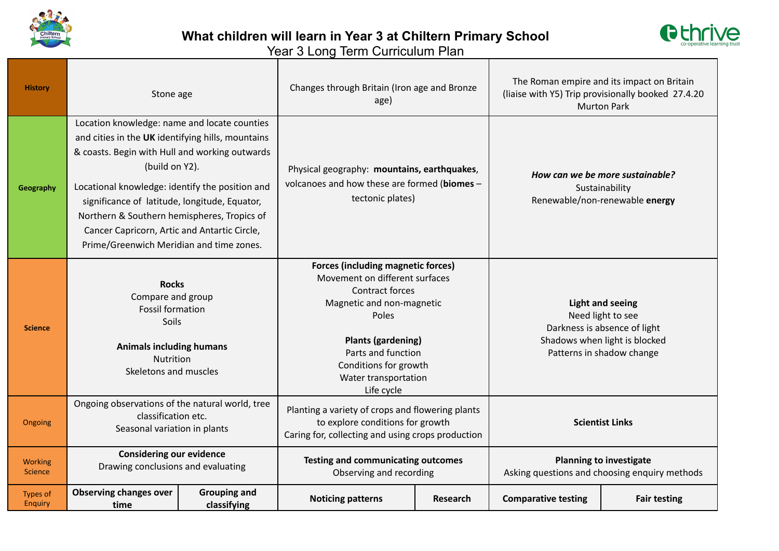



| <b>History</b>                    | Stone age                                                                                                                                                                                                                                                                                                                                                                                                            |                                    | Changes through Britain (Iron age and Bronze<br>age)                                                                                                                                                                                                   |                 | The Roman empire and its impact on Britain<br>(liaise with Y5) Trip provisionally booked 27.4.20<br><b>Murton Park</b>                     |                     |
|-----------------------------------|----------------------------------------------------------------------------------------------------------------------------------------------------------------------------------------------------------------------------------------------------------------------------------------------------------------------------------------------------------------------------------------------------------------------|------------------------------------|--------------------------------------------------------------------------------------------------------------------------------------------------------------------------------------------------------------------------------------------------------|-----------------|--------------------------------------------------------------------------------------------------------------------------------------------|---------------------|
| Geography                         | Location knowledge: name and locate counties<br>and cities in the UK identifying hills, mountains<br>& coasts. Begin with Hull and working outwards<br>(build on Y2).<br>Locational knowledge: identify the position and<br>significance of latitude, longitude, Equator,<br>Northern & Southern hemispheres, Tropics of<br>Cancer Capricorn, Artic and Antartic Circle,<br>Prime/Greenwich Meridian and time zones. |                                    | Physical geography: mountains, earthquakes,<br>volcanoes and how these are formed (biomes -<br>tectonic plates)                                                                                                                                        |                 | How can we be more sustainable?<br>Sustainability<br>Renewable/non-renewable energy                                                        |                     |
| <b>Science</b>                    | <b>Rocks</b><br>Compare and group<br><b>Fossil formation</b><br>Soils<br><b>Animals including humans</b><br>Nutrition<br>Skeletons and muscles                                                                                                                                                                                                                                                                       |                                    | <b>Forces (including magnetic forces)</b><br>Movement on different surfaces<br>Contract forces<br>Magnetic and non-magnetic<br>Poles<br><b>Plants (gardening)</b><br>Parts and function<br>Conditions for growth<br>Water transportation<br>Life cycle |                 | <b>Light and seeing</b><br>Need light to see<br>Darkness is absence of light<br>Shadows when light is blocked<br>Patterns in shadow change |                     |
| Ongoing                           | Ongoing observations of the natural world, tree<br>classification etc.<br>Seasonal variation in plants                                                                                                                                                                                                                                                                                                               |                                    | Planting a variety of crops and flowering plants<br>to explore conditions for growth<br>Caring for, collecting and using crops production                                                                                                              |                 | <b>Scientist Links</b>                                                                                                                     |                     |
| <b>Working</b><br><b>Science</b>  | <b>Considering our evidence</b><br>Drawing conclusions and evaluating                                                                                                                                                                                                                                                                                                                                                |                                    | <b>Testing and communicating outcomes</b><br>Observing and recording                                                                                                                                                                                   |                 | <b>Planning to investigate</b><br>Asking questions and choosing enquiry methods                                                            |                     |
| <b>Types of</b><br><b>Enquiry</b> | <b>Observing changes over</b><br>time                                                                                                                                                                                                                                                                                                                                                                                | <b>Grouping and</b><br>classifying | <b>Noticing patterns</b>                                                                                                                                                                                                                               | <b>Research</b> | <b>Comparative testing</b>                                                                                                                 | <b>Fair testing</b> |